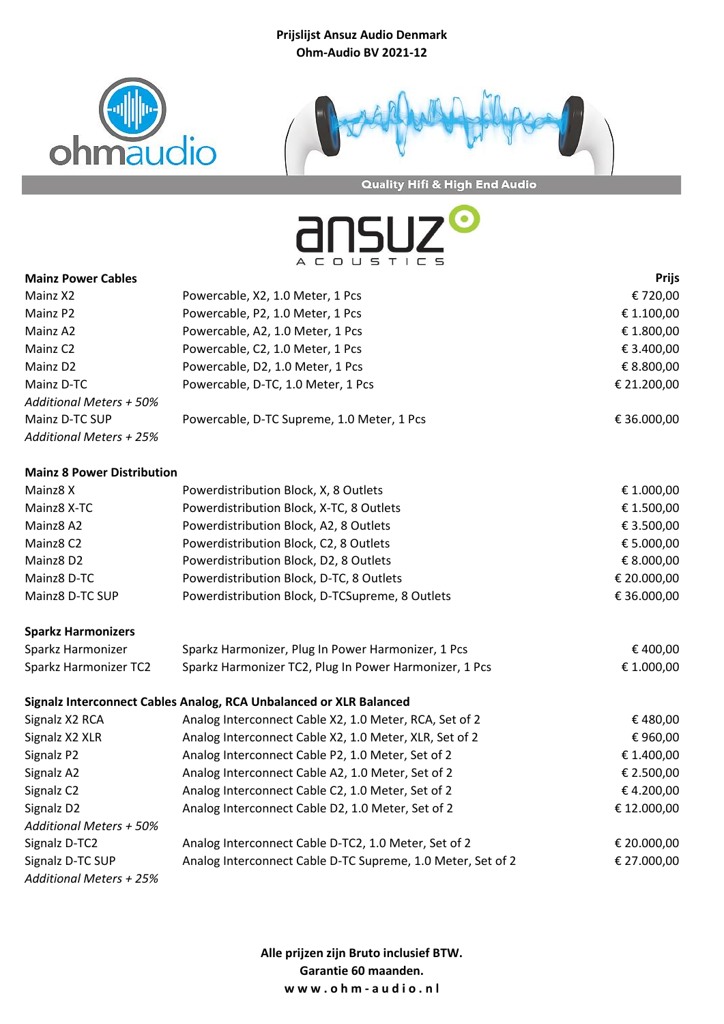



Quality Hifi & High End Audio

ansu

|                                   | A L U U 5 I I L 5                                                  |              |
|-----------------------------------|--------------------------------------------------------------------|--------------|
| <b>Mainz Power Cables</b>         |                                                                    | <b>Prijs</b> |
| Mainz X2                          | Powercable, X2, 1.0 Meter, 1 Pcs                                   | €720,00      |
| Mainz P2                          | Powercable, P2, 1.0 Meter, 1 Pcs                                   | € 1.100,00   |
| Mainz A2                          | Powercable, A2, 1.0 Meter, 1 Pcs                                   | € 1.800,00   |
| Mainz C <sub>2</sub>              | Powercable, C2, 1.0 Meter, 1 Pcs                                   | € 3.400,00   |
| Mainz D2                          | Powercable, D2, 1.0 Meter, 1 Pcs                                   | € 8.800,00   |
| Mainz D-TC                        | Powercable, D-TC, 1.0 Meter, 1 Pcs                                 | € 21.200,00  |
| <b>Additional Meters + 50%</b>    |                                                                    |              |
| Mainz D-TC SUP                    | Powercable, D-TC Supreme, 1.0 Meter, 1 Pcs                         | € 36.000,00  |
| <b>Additional Meters + 25%</b>    |                                                                    |              |
| <b>Mainz 8 Power Distribution</b> |                                                                    |              |
| Mainz8 X                          | Powerdistribution Block, X, 8 Outlets                              | € 1.000,00   |
| Mainz8 X-TC                       | Powerdistribution Block, X-TC, 8 Outlets                           | € 1.500,00   |
| Mainz8 A2                         | Powerdistribution Block, A2, 8 Outlets                             | € 3.500,00   |
| Mainz8 C2                         | Powerdistribution Block, C2, 8 Outlets                             | € 5.000,00   |
| Mainz8 D2                         | Powerdistribution Block, D2, 8 Outlets                             | € 8.000,00   |
| Mainz8 D-TC                       | Powerdistribution Block, D-TC, 8 Outlets                           | € 20.000,00  |
| Mainz8 D-TC SUP                   | Powerdistribution Block, D-TCSupreme, 8 Outlets                    | € 36.000,00  |
| <b>Sparkz Harmonizers</b>         |                                                                    |              |
| Sparkz Harmonizer                 | Sparkz Harmonizer, Plug In Power Harmonizer, 1 Pcs                 | €400,00      |
| Sparkz Harmonizer TC2             | Sparkz Harmonizer TC2, Plug In Power Harmonizer, 1 Pcs             | € 1.000,00   |
|                                   | Signalz Interconnect Cables Analog, RCA Unbalanced or XLR Balanced |              |
| Signalz X2 RCA                    | Analog Interconnect Cable X2, 1.0 Meter, RCA, Set of 2             | €480,00      |
| Signalz X2 XLR                    | Analog Interconnect Cable X2, 1.0 Meter, XLR, Set of 2             | €960,00      |
| Signalz P2                        | Analog Interconnect Cable P2, 1.0 Meter, Set of 2                  | € 1.400,00   |
| Signalz A2                        | Analog Interconnect Cable A2, 1.0 Meter, Set of 2                  | € 2.500,00   |
| Signalz C2                        | Analog Interconnect Cable C2, 1.0 Meter, Set of 2                  | €4.200,00    |
| Signalz D2                        | Analog Interconnect Cable D2, 1.0 Meter, Set of 2                  | €12.000,00   |
| <b>Additional Meters + 50%</b>    |                                                                    |              |
| Signalz D-TC2                     | Analog Interconnect Cable D-TC2, 1.0 Meter, Set of 2               | € 20.000,00  |
| Signalz D-TC SUP                  | Analog Interconnect Cable D-TC Supreme, 1.0 Meter, Set of 2        | € 27.000,00  |

*Additional Meters + 25%*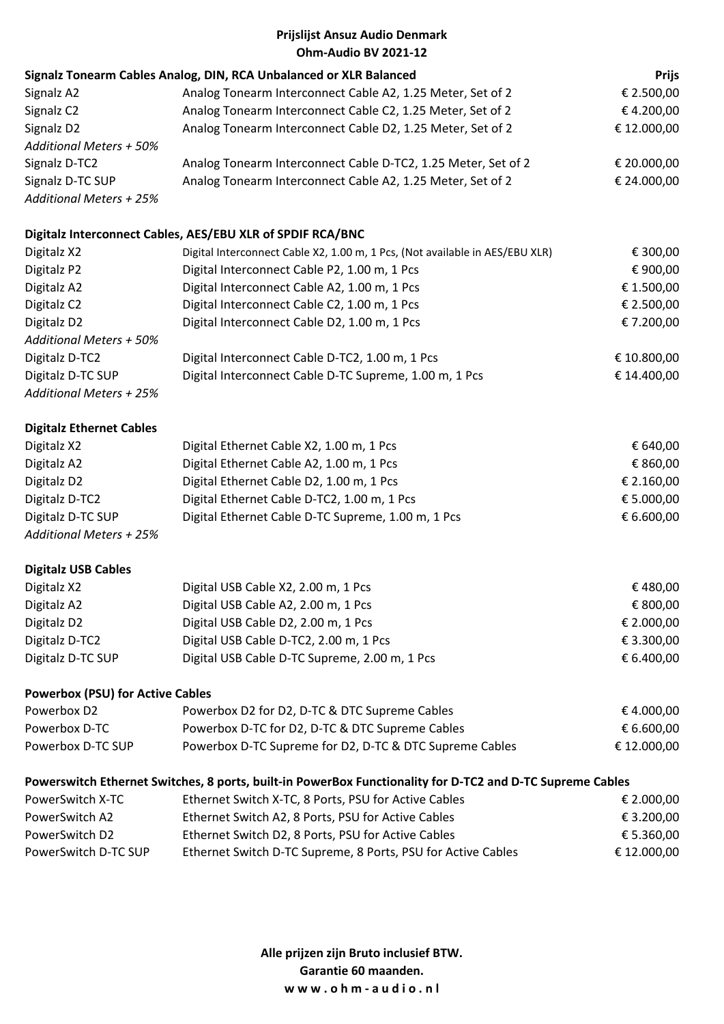| Ohm-Audio BV 2021-12                                                                                      |                                                                              |              |  |
|-----------------------------------------------------------------------------------------------------------|------------------------------------------------------------------------------|--------------|--|
|                                                                                                           | Signalz Tonearm Cables Analog, DIN, RCA Unbalanced or XLR Balanced           | <b>Prijs</b> |  |
| Signalz A2                                                                                                | Analog Tonearm Interconnect Cable A2, 1.25 Meter, Set of 2                   | € 2.500,00   |  |
| Signalz <sub>C2</sub>                                                                                     | Analog Tonearm Interconnect Cable C2, 1.25 Meter, Set of 2                   | €4.200,00    |  |
| Signalz D2                                                                                                | Analog Tonearm Interconnect Cable D2, 1.25 Meter, Set of 2                   | € 12.000,00  |  |
| <b>Additional Meters + 50%</b>                                                                            |                                                                              |              |  |
| Signalz D-TC2                                                                                             | Analog Tonearm Interconnect Cable D-TC2, 1.25 Meter, Set of 2                | € 20.000,00  |  |
| Signalz D-TC SUP                                                                                          | Analog Tonearm Interconnect Cable A2, 1.25 Meter, Set of 2                   | € 24.000,00  |  |
| <b>Additional Meters + 25%</b>                                                                            |                                                                              |              |  |
|                                                                                                           | Digitalz Interconnect Cables, AES/EBU XLR of SPDIF RCA/BNC                   |              |  |
| Digitalz X2                                                                                               | Digital Interconnect Cable X2, 1.00 m, 1 Pcs, (Not available in AES/EBU XLR) | € 300,00     |  |
| Digitalz P2                                                                                               | Digital Interconnect Cable P2, 1.00 m, 1 Pcs                                 | € 900,00     |  |
| Digitalz A2                                                                                               | Digital Interconnect Cable A2, 1.00 m, 1 Pcs                                 | € 1.500,00   |  |
| Digitalz C2                                                                                               | Digital Interconnect Cable C2, 1.00 m, 1 Pcs                                 | € 2.500,00   |  |
| Digitalz D2                                                                                               | Digital Interconnect Cable D2, 1.00 m, 1 Pcs                                 | €7.200,00    |  |
| <b>Additional Meters + 50%</b>                                                                            |                                                                              |              |  |
| Digitalz D-TC2                                                                                            | Digital Interconnect Cable D-TC2, 1.00 m, 1 Pcs                              | € 10.800,00  |  |
| Digitalz D-TC SUP                                                                                         | Digital Interconnect Cable D-TC Supreme, 1.00 m, 1 Pcs                       | € 14.400,00  |  |
| <b>Additional Meters + 25%</b>                                                                            |                                                                              |              |  |
| <b>Digitalz Ethernet Cables</b>                                                                           |                                                                              |              |  |
| Digitalz X2                                                                                               | Digital Ethernet Cable X2, 1.00 m, 1 Pcs                                     | € 640,00     |  |
| Digitalz A2                                                                                               | Digital Ethernet Cable A2, 1.00 m, 1 Pcs                                     | € 860,00     |  |
| Digitalz D2                                                                                               | Digital Ethernet Cable D2, 1.00 m, 1 Pcs                                     | € 2.160,00   |  |
| Digitalz D-TC2                                                                                            | Digital Ethernet Cable D-TC2, 1.00 m, 1 Pcs                                  | € 5.000,00   |  |
| Digitalz D-TC SUP                                                                                         | Digital Ethernet Cable D-TC Supreme, 1.00 m, 1 Pcs                           | € 6.600,00   |  |
| <b>Additional Meters + 25%</b>                                                                            |                                                                              |              |  |
| <b>Digitalz USB Cables</b>                                                                                |                                                                              |              |  |
| Digitalz X2                                                                                               | Digital USB Cable X2, 2.00 m, 1 Pcs                                          | €480,00      |  |
| Digitalz A2                                                                                               | Digital USB Cable A2, 2.00 m, 1 Pcs                                          | € 800,00     |  |
| Digitalz D2                                                                                               | Digital USB Cable D2, 2.00 m, 1 Pcs                                          | € 2.000,00   |  |
| Digitalz D-TC2                                                                                            | Digital USB Cable D-TC2, 2.00 m, 1 Pcs                                       | € 3.300,00   |  |
| Digitalz D-TC SUP                                                                                         | Digital USB Cable D-TC Supreme, 2.00 m, 1 Pcs                                | € 6.400,00   |  |
| <b>Powerbox (PSU) for Active Cables</b>                                                                   |                                                                              |              |  |
| Powerbox D2                                                                                               | Powerbox D2 for D2, D-TC & DTC Supreme Cables                                | €4.000,00    |  |
| Powerbox D-TC                                                                                             | Powerbox D-TC for D2, D-TC & DTC Supreme Cables                              | € 6.600,00   |  |
| Powerbox D-TC SUP                                                                                         | Powerbox D-TC Supreme for D2, D-TC & DTC Supreme Cables                      | € 12.000,00  |  |
| Powerswitch Ethernet Switches, 8 ports, built-in PowerBox Functionality for D-TC2 and D-TC Supreme Cables |                                                                              |              |  |
| PowerSwitch X-TC                                                                                          | Ethernet Switch X-TC, 8 Ports, PSU for Active Cables                         | € 2.000,00   |  |
| PowerSwitch A2                                                                                            | Ethernet Switch A2, 8 Ports, PSU for Active Cables                           | € 3.200,00   |  |
|                                                                                                           |                                                                              |              |  |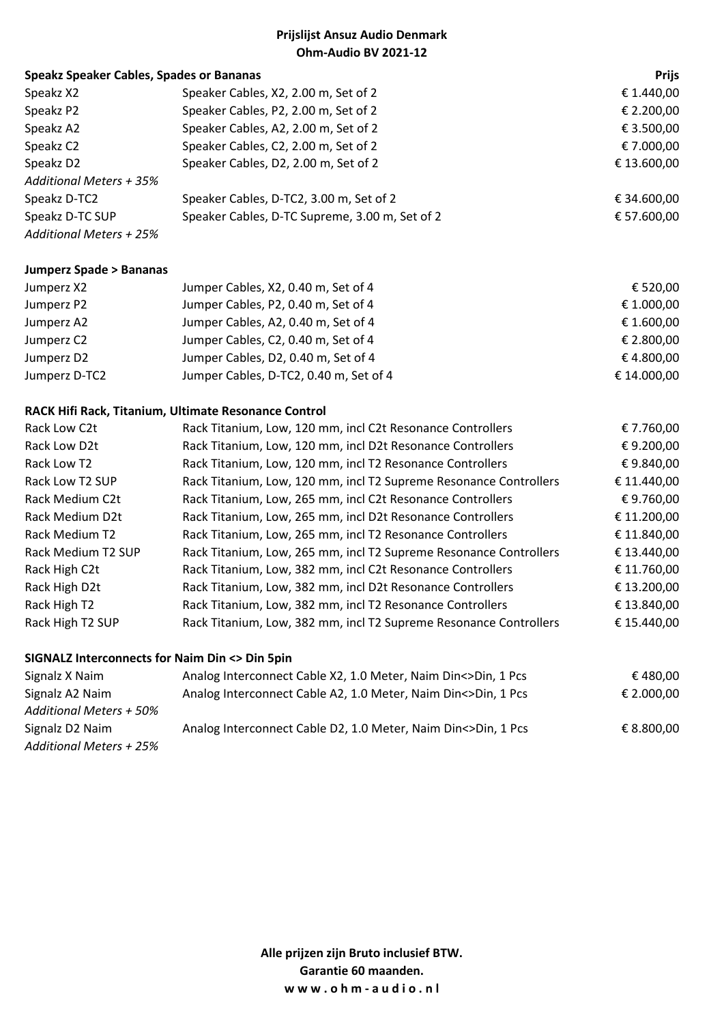| <b>Speakz Speaker Cables, Spades or Bananas</b> |                                                | <b>Prijs</b> |
|-------------------------------------------------|------------------------------------------------|--------------|
| Speakz X2                                       | Speaker Cables, X2, 2.00 m, Set of 2           | € 1.440,00   |
| Speakz P2                                       | Speaker Cables, P2, 2.00 m, Set of 2           | € 2.200,00   |
| Speakz A2                                       | Speaker Cables, A2, 2.00 m, Set of 2           | € 3.500,00   |
| Speakz C2                                       | Speaker Cables, C2, 2.00 m, Set of 2           | € 7.000,00   |
| Speakz D2                                       | Speaker Cables, D2, 2.00 m, Set of 2           | € 13.600,00  |
| Additional Meters + 35%                         |                                                |              |
| Speakz D-TC2                                    | Speaker Cables, D-TC2, 3.00 m, Set of 2        | € 34.600,00  |
| Speakz D-TC SUP                                 | Speaker Cables, D-TC Supreme, 3.00 m, Set of 2 | € 57.600,00  |
| Additional Meters + 25%                         |                                                |              |

#### **Jumperz Spade > Bananas**

| Jumperz X2    | Jumper Cables, X2, 0.40 m, Set of 4    | € 520,00    |
|---------------|----------------------------------------|-------------|
| Jumperz P2    | Jumper Cables, P2, 0.40 m, Set of 4    | € 1.000,00  |
| Jumperz A2    | Jumper Cables, A2, 0.40 m, Set of 4    | € 1.600,00  |
| Jumperz C2    | Jumper Cables, C2, 0.40 m, Set of 4    | € 2.800,00  |
| Jumperz D2    | Jumper Cables, D2, 0.40 m, Set of 4    | € 4.800,00  |
| Jumperz D-TC2 | Jumper Cables, D-TC2, 0.40 m, Set of 4 | € 14.000,00 |

### **RACK Hifi Rack, Titanium, Ultimate Resonance Control**

| Rack Titanium, Low, 120 mm, incl D2t Resonance Controllers<br>€ 9.200,00<br>Rack Low D2t<br>€ 9.840,00<br>Rack Titanium, Low, 120 mm, incl T2 Resonance Controllers<br>Rack Low T2<br>Rack Titanium, Low, 120 mm, incl T2 Supreme Resonance Controllers<br>€ 11.440,00<br>Rack Low T2 SUP<br>€9.760,00<br>Rack Titanium, Low, 265 mm, incl C2t Resonance Controllers<br>Rack Medium C2t<br>€ 11.200,00<br>Rack Titanium, Low, 265 mm, incl D2t Resonance Controllers<br>Rack Medium D2t<br>€ 11.840,00<br>Rack Titanium, Low, 265 mm, incl T2 Resonance Controllers<br>Rack Medium T2<br>Rack Titanium, Low, 265 mm, incl T2 Supreme Resonance Controllers<br>€ 13.440,00<br>Rack Medium T2 SUP<br>€ 11.760,00<br>Rack High C2t<br>Rack Titanium, Low, 382 mm, incl C2t Resonance Controllers<br>€ 13.200,00<br>Rack High D2t<br>Rack Titanium, Low, 382 mm, incl D2t Resonance Controllers | Rack Low C2t | Rack Titanium, Low, 120 mm, incl C2t Resonance Controllers | € 7.760,00  |
|---------------------------------------------------------------------------------------------------------------------------------------------------------------------------------------------------------------------------------------------------------------------------------------------------------------------------------------------------------------------------------------------------------------------------------------------------------------------------------------------------------------------------------------------------------------------------------------------------------------------------------------------------------------------------------------------------------------------------------------------------------------------------------------------------------------------------------------------------------------------------------------------|--------------|------------------------------------------------------------|-------------|
|                                                                                                                                                                                                                                                                                                                                                                                                                                                                                                                                                                                                                                                                                                                                                                                                                                                                                             |              |                                                            |             |
|                                                                                                                                                                                                                                                                                                                                                                                                                                                                                                                                                                                                                                                                                                                                                                                                                                                                                             |              |                                                            |             |
|                                                                                                                                                                                                                                                                                                                                                                                                                                                                                                                                                                                                                                                                                                                                                                                                                                                                                             |              |                                                            |             |
|                                                                                                                                                                                                                                                                                                                                                                                                                                                                                                                                                                                                                                                                                                                                                                                                                                                                                             |              |                                                            |             |
|                                                                                                                                                                                                                                                                                                                                                                                                                                                                                                                                                                                                                                                                                                                                                                                                                                                                                             |              |                                                            |             |
|                                                                                                                                                                                                                                                                                                                                                                                                                                                                                                                                                                                                                                                                                                                                                                                                                                                                                             |              |                                                            |             |
|                                                                                                                                                                                                                                                                                                                                                                                                                                                                                                                                                                                                                                                                                                                                                                                                                                                                                             |              |                                                            |             |
|                                                                                                                                                                                                                                                                                                                                                                                                                                                                                                                                                                                                                                                                                                                                                                                                                                                                                             |              |                                                            |             |
|                                                                                                                                                                                                                                                                                                                                                                                                                                                                                                                                                                                                                                                                                                                                                                                                                                                                                             |              |                                                            |             |
|                                                                                                                                                                                                                                                                                                                                                                                                                                                                                                                                                                                                                                                                                                                                                                                                                                                                                             | Rack High T2 | Rack Titanium, Low, 382 mm, incl T2 Resonance Controllers  | € 13.840,00 |
| Rack High T2 SUP<br>Rack Titanium, Low, 382 mm, incl T2 Supreme Resonance Controllers<br>€ 15.440,00                                                                                                                                                                                                                                                                                                                                                                                                                                                                                                                                                                                                                                                                                                                                                                                        |              |                                                            |             |

#### **SIGNALZ Interconnects for Naim Din <> Din 5pin**

| Signalz X Naim                 | Analog Interconnect Cable X2, 1.0 Meter, Naim Din<>Din, 1 Pcs | € 480.00   |
|--------------------------------|---------------------------------------------------------------|------------|
| Signalz A2 Naim                | Analog Interconnect Cable A2, 1.0 Meter, Naim Din<>Din, 1 Pcs | € 2.000.00 |
| <b>Additional Meters + 50%</b> |                                                               |            |
| Signalz D2 Naim                | Analog Interconnect Cable D2, 1.0 Meter, Naim Din<>Din, 1 Pcs | € 8.800.00 |
| <b>Additional Meters + 25%</b> |                                                               |            |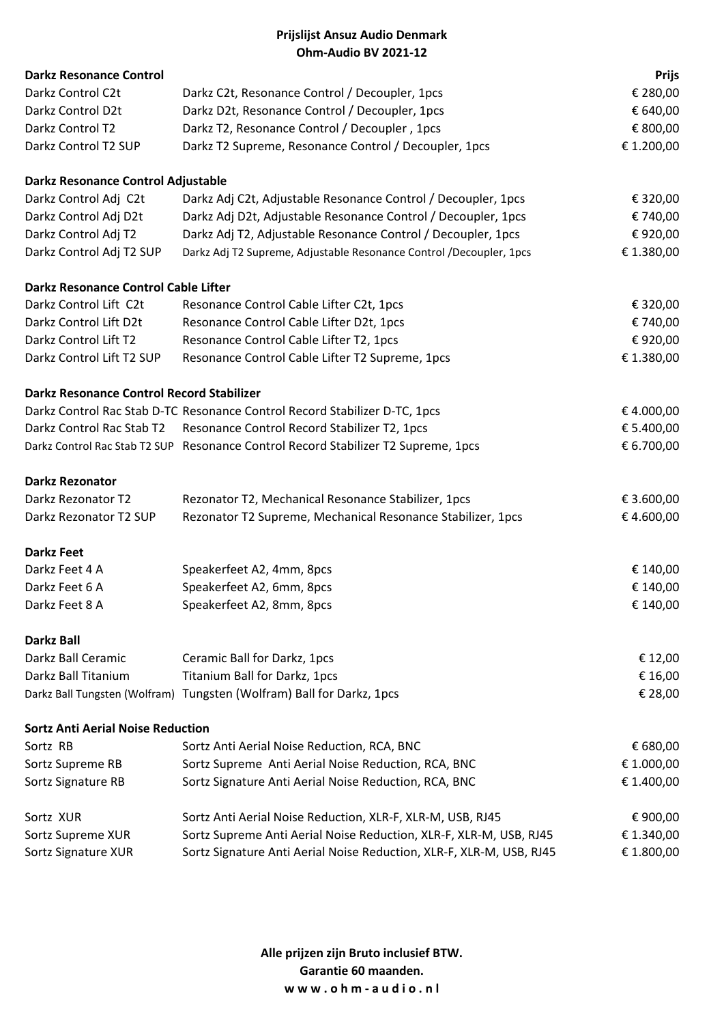|                                                  | Prijslijst Ansuz Audio Denmark                                                     |              |
|--------------------------------------------------|------------------------------------------------------------------------------------|--------------|
|                                                  | Ohm-Audio BV 2021-12                                                               |              |
| <b>Darkz Resonance Control</b>                   |                                                                                    | <b>Prijs</b> |
| Darkz Control C2t                                | Darkz C2t, Resonance Control / Decoupler, 1pcs                                     | € 280,00     |
| Darkz Control D2t                                | Darkz D2t, Resonance Control / Decoupler, 1pcs                                     | € 640,00     |
| Darkz Control T2                                 | Darkz T2, Resonance Control / Decoupler, 1pcs                                      | € 800,00     |
| Darkz Control T2 SUP                             | Darkz T2 Supreme, Resonance Control / Decoupler, 1pcs                              | € 1.200,00   |
| Darkz Resonance Control Adjustable               |                                                                                    |              |
| Darkz Control Adj C2t                            | Darkz Adj C2t, Adjustable Resonance Control / Decoupler, 1pcs                      | € 320,00     |
| Darkz Control Adj D2t                            | Darkz Adj D2t, Adjustable Resonance Control / Decoupler, 1pcs                      | € 740,00     |
| Darkz Control Adj T2                             | Darkz Adj T2, Adjustable Resonance Control / Decoupler, 1pcs                       | € 920,00     |
| Darkz Control Adj T2 SUP                         | Darkz Adj T2 Supreme, Adjustable Resonance Control /Decoupler, 1pcs                | € 1.380,00   |
| Darkz Resonance Control Cable Lifter             |                                                                                    |              |
| Darkz Control Lift C2t                           | Resonance Control Cable Lifter C2t, 1pcs                                           | € 320,00     |
| Darkz Control Lift D2t                           | Resonance Control Cable Lifter D2t, 1pcs                                           | € 740,00     |
| Darkz Control Lift T2                            | Resonance Control Cable Lifter T2, 1pcs                                            | € 920,00     |
| Darkz Control Lift T2 SUP                        | Resonance Control Cable Lifter T2 Supreme, 1pcs                                    | € 1.380,00   |
| <b>Darkz Resonance Control Record Stabilizer</b> |                                                                                    |              |
|                                                  | Darkz Control Rac Stab D-TC Resonance Control Record Stabilizer D-TC, 1pcs         | €4.000,00    |
| Darkz Control Rac Stab T2                        | Resonance Control Record Stabilizer T2, 1pcs                                       | € 5.400,00   |
|                                                  | Darkz Control Rac Stab T2 SUP Resonance Control Record Stabilizer T2 Supreme, 1pcs | € 6.700,00   |
| <b>Darkz Rezonator</b>                           |                                                                                    |              |
| Darkz Rezonator T2                               | Rezonator T2, Mechanical Resonance Stabilizer, 1pcs                                | € 3.600,00   |
| Darkz Rezonator T2 SUP                           | Rezonator T2 Supreme, Mechanical Resonance Stabilizer, 1pcs                        | €4.600,00    |
| <b>Darkz Feet</b>                                |                                                                                    |              |
| Darkz Feet 4 A                                   | Speakerfeet A2, 4mm, 8pcs                                                          | € 140,00     |
| Darkz Feet 6 A                                   | Speakerfeet A2, 6mm, 8pcs                                                          | € 140,00     |
| Darkz Feet 8 A                                   | Speakerfeet A2, 8mm, 8pcs                                                          | € 140,00     |
| <b>Darkz Ball</b>                                |                                                                                    |              |
| Darkz Ball Ceramic                               | Ceramic Ball for Darkz, 1pcs                                                       | € 12,00      |
| Darkz Ball Titanium                              | Titanium Ball for Darkz, 1pcs                                                      | € 16,00      |
|                                                  | Darkz Ball Tungsten (Wolfram) Tungsten (Wolfram) Ball for Darkz, 1pcs              | € 28,00      |
| <b>Sortz Anti Aerial Noise Reduction</b>         |                                                                                    |              |
| Sortz RB                                         | Sortz Anti Aerial Noise Reduction, RCA, BNC                                        | € 680,00     |
| Sortz Supreme RB                                 | Sortz Supreme Anti Aerial Noise Reduction, RCA, BNC                                | € 1.000,00   |
| Sortz Signature RB                               | Sortz Signature Anti Aerial Noise Reduction, RCA, BNC                              | € 1.400,00   |
| Sortz XUR                                        | Sortz Anti Aerial Noise Reduction, XLR-F, XLR-M, USB, RJ45                         | € 900,00     |
| Sortz Supreme XUR                                | Sortz Supreme Anti Aerial Noise Reduction, XLR-F, XLR-M, USB, RJ45                 | € 1.340,00   |
| Sortz Signature XUR                              | Sortz Signature Anti Aerial Noise Reduction, XLR-F, XLR-M, USB, RJ45               | € 1.800,00   |